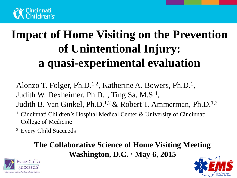

# **Impact of Home Visiting on the Prevention of Unintentional Injury: a quasi-experimental evaluation**

Alonzo T. Folger, Ph.D.<sup>1,2</sup>, Katherine A. Bowers, Ph.D.<sup>1</sup>, Judith W. Dexheimer, Ph.D.<sup>1</sup>, Ting Sa, M.S.<sup>1</sup>, Judith B. Van Ginkel, Ph.D.1,2 & Robert T. Ammerman, Ph.D.1,2

- <sup>1</sup> Cincinnati Children's Hospital Medical Center  $\&$  University of Cincinnati College of Medicine
- 2 Every Child Succeeds

#### **The Collaborative Science of Home Visiting Meeting Washington, D.C. May 6, 2015**



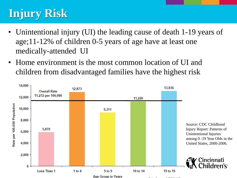## **Injury Risk**

- Unintentional injury (UI) the leading cause of death 1-19 years of age;11-12% of children 0-5 years of age have at least one medically-attended UI
- Home environment is the most common location of UI and children from disadvantaged families have the highest risk

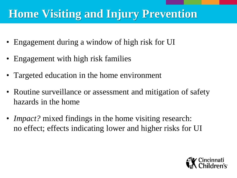### **Home Visiting and Injury Prevention**

- Engagement during a window of high risk for UI
- Engagement with high risk families
- Targeted education in the home environment
- Routine surveillance or assessment and mitigation of safety hazards in the home
- *Impact?* mixed findings in the home visiting research: no effect; effects indicating lower and higher risks for UI

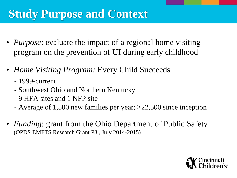## **Study Purpose and Context**

- *Purpose*: evaluate the impact of a regional home visiting program on the prevention of UI during early childhood
- *Home Visiting Program:* Every Child Succeeds
	- 1999-current
	- Southwest Ohio and Northern Kentucky
	- 9 HFA sites and 1 NFP site
	- Average of 1,500 new families per year; >22,500 since inception
- *Funding*: grant from the Ohio Department of Public Safety (OPDS EMFTS Research Grant P3 , July 2014-2015)

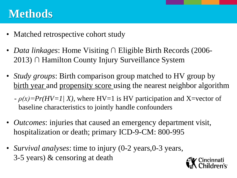### **Methods**

- Matched retrospective cohort study
- *Data linkages*: Home Visiting ∩ Eligible Birth Records (2006-2013) ∩ Hamilton County Injury Surveillance System
- *Study groups*: Birth comparison group matched to HV group by birth year and propensity score using the nearest neighbor algorithm
	- *ρ(x)=Pr(HV=1| X)*, where HV=1 is HV participation and X=vector of baseline characteristics to jointly handle confounders
- *Outcomes*: injuries that caused an emergency department visit, hospitalization or death; primary ICD-9-CM: 800-995
- *Survival analyses*: time to injury (0-2 years, 0-3 years, 3-5 years) & censoring at death

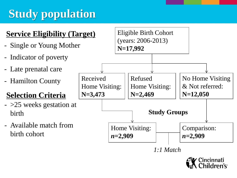## **Study population**



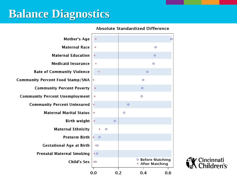### **Balance Diagnostics**



#### **Absolute Standardized Difference**

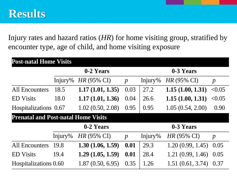Injury rates and hazard ratios (*HR*) for home visiting group, stratified by encounter type, age of child, and home visiting exposure

| <b>Post-natal Home Visits</b>              |           |                       |                  |           |                       |                  |
|--------------------------------------------|-----------|-----------------------|------------------|-----------|-----------------------|------------------|
|                                            | 0-2 Years |                       |                  | 0-3 Years |                       |                  |
|                                            | Injury%   | $HR(95\% \text{ CI})$ | $\boldsymbol{p}$ | Injury%   | $HR(95\% \text{ CI})$ | $\boldsymbol{p}$ |
| <b>All Encounters</b>                      | 18.5      | 1.17(1.01, 1.35)      | 0.03             | 27.2      | 1.15(1.00, 1.31)      | < 0.05           |
| <b>ED</b> Visits                           | 18.0      | 1.17(1.01, 1.36)      | 0.04             | 26.6      | 1.15(1.00, 1.31)      | < 0.05           |
| Hospitalizations 0.67                      |           | 1.02(0.50, 2.08)      | 0.95             | 0.95      | 1.05(0.54, 2.00)      | 0.90             |
| <b>Prenatal and Post-natal Home Visits</b> |           |                       |                  |           |                       |                  |
|                                            |           | 0-2 Years             |                  |           | 0-3 Years             |                  |
|                                            | Injury%   | HR (95% CI)           | $\boldsymbol{p}$ | Injury%   | <i>HR</i> (95% CI)    | $\boldsymbol{p}$ |
| <b>All Encounters</b>                      | 19.8      | 1.30(1.06, 1.59)      | 0.01             | 29.3      | 1.20(0.99, 1.45)      | 0.05             |
| <b>ED</b> Visits                           | 19.4      | 1.29(1.05, 1.59)      | 0.01             | 28.4      | 1.21(0.99, 1.46)      | 0.05             |
| Hospitalizations 0.60                      |           | 1.87(0.50, 6.95)      | 0.35             | 1.26      | 1.51(0.61, 3.74)      | 0.37             |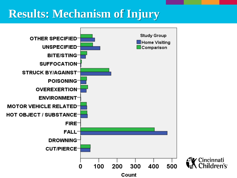### **Results: Mechanism of Injury**

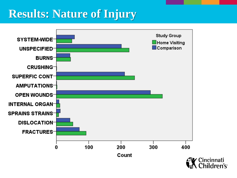### **Results: Nature of Injury**

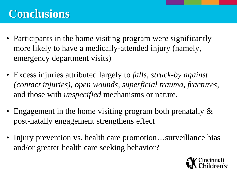### **Conclusions**

- Participants in the home visiting program were significantly more likely to have a medically-attended injury (namely, emergency department visits)
- Excess injuries attributed largely to *falls*, *struck-by against (contact injuries)*, *open wounds, superficial trauma, fractures*, and those with *unspecified* mechanisms or nature.
- Engagement in the home visiting program both prenatally  $\&$ post-natally engagement strengthens effect
- Injury prevention vs. health care promotion...surveillance bias and/or greater health care seeking behavior?

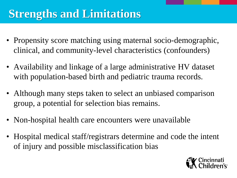## **Strengths and Limitations**

- Propensity score matching using maternal socio-demographic, clinical, and community-level characteristics (confounders)
- Availability and linkage of a large administrative HV dataset with population-based birth and pediatric trauma records.
- Although many steps taken to select an unbiased comparison group, a potential for selection bias remains.
- Non-hospital health care encounters were unavailable
- Hospital medical staff/registrars determine and code the intent of injury and possible misclassification bias